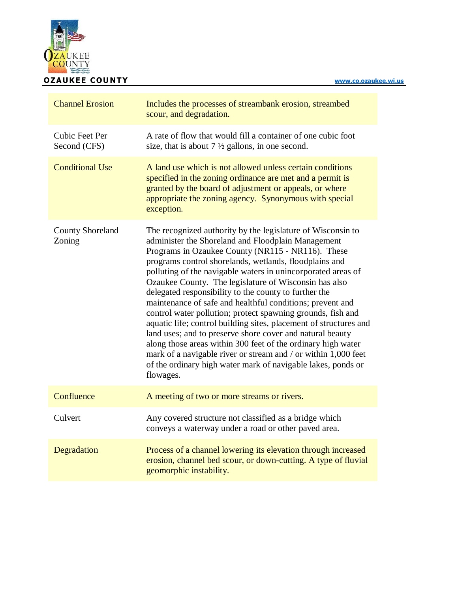

| <b>Channel Erosion</b>                | Includes the processes of streambank erosion, streambed<br>scour, and degradation.                                                                                                                                                                                                                                                                                                                                                                                                                                                                                                                                                                                                                                                                                                                                                                                                              |
|---------------------------------------|-------------------------------------------------------------------------------------------------------------------------------------------------------------------------------------------------------------------------------------------------------------------------------------------------------------------------------------------------------------------------------------------------------------------------------------------------------------------------------------------------------------------------------------------------------------------------------------------------------------------------------------------------------------------------------------------------------------------------------------------------------------------------------------------------------------------------------------------------------------------------------------------------|
| <b>Cubic Feet Per</b><br>Second (CFS) | A rate of flow that would fill a container of one cubic foot<br>size, that is about $7\frac{1}{2}$ gallons, in one second.                                                                                                                                                                                                                                                                                                                                                                                                                                                                                                                                                                                                                                                                                                                                                                      |
| <b>Conditional Use</b>                | A land use which is not allowed unless certain conditions<br>specified in the zoning ordinance are met and a permit is<br>granted by the board of adjustment or appeals, or where<br>appropriate the zoning agency. Synonymous with special<br>exception.                                                                                                                                                                                                                                                                                                                                                                                                                                                                                                                                                                                                                                       |
| <b>County Shoreland</b><br>Zoning     | The recognized authority by the legislature of Wisconsin to<br>administer the Shoreland and Floodplain Management<br>Programs in Ozaukee County (NR115 - NR116). These<br>programs control shorelands, wetlands, floodplains and<br>polluting of the navigable waters in unincorporated areas of<br>Ozaukee County. The legislature of Wisconsin has also<br>delegated responsibility to the county to further the<br>maintenance of safe and healthful conditions; prevent and<br>control water pollution; protect spawning grounds, fish and<br>aquatic life; control building sites, placement of structures and<br>land uses; and to preserve shore cover and natural beauty<br>along those areas within 300 feet of the ordinary high water<br>mark of a navigable river or stream and / or within 1,000 feet<br>of the ordinary high water mark of navigable lakes, ponds or<br>flowages. |
| Confluence                            | A meeting of two or more streams or rivers.                                                                                                                                                                                                                                                                                                                                                                                                                                                                                                                                                                                                                                                                                                                                                                                                                                                     |
| Culvert                               | Any covered structure not classified as a bridge which<br>conveys a waterway under a road or other paved area.                                                                                                                                                                                                                                                                                                                                                                                                                                                                                                                                                                                                                                                                                                                                                                                  |
| Degradation                           | Process of a channel lowering its elevation through increased<br>erosion, channel bed scour, or down-cutting. A type of fluvial<br>geomorphic instability.                                                                                                                                                                                                                                                                                                                                                                                                                                                                                                                                                                                                                                                                                                                                      |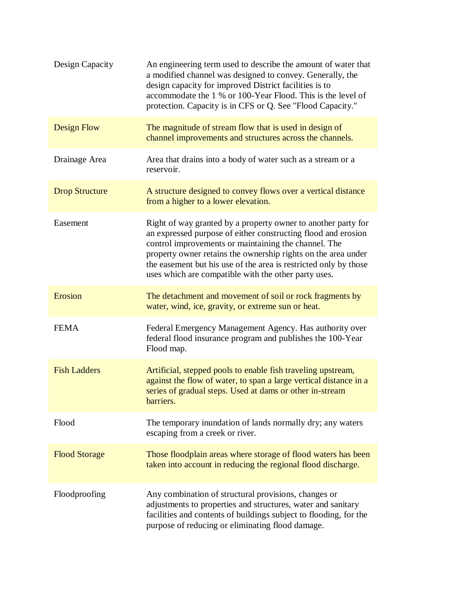| Design Capacity       | An engineering term used to describe the amount of water that<br>a modified channel was designed to convey. Generally, the<br>design capacity for improved District facilities is to<br>accommodate the 1 % or 100-Year Flood. This is the level of<br>protection. Capacity is in CFS or Q. See "Flood Capacity."                                                                   |
|-----------------------|-------------------------------------------------------------------------------------------------------------------------------------------------------------------------------------------------------------------------------------------------------------------------------------------------------------------------------------------------------------------------------------|
| <b>Design Flow</b>    | The magnitude of stream flow that is used in design of<br>channel improvements and structures across the channels.                                                                                                                                                                                                                                                                  |
| Drainage Area         | Area that drains into a body of water such as a stream or a<br>reservoir.                                                                                                                                                                                                                                                                                                           |
| <b>Drop Structure</b> | A structure designed to convey flows over a vertical distance<br>from a higher to a lower elevation.                                                                                                                                                                                                                                                                                |
| Easement              | Right of way granted by a property owner to another party for<br>an expressed purpose of either constructing flood and erosion<br>control improvements or maintaining the channel. The<br>property owner retains the ownership rights on the area under<br>the easement but his use of the area is restricted only by those<br>uses which are compatible with the other party uses. |
| Erosion               | The detachment and movement of soil or rock fragments by<br>water, wind, ice, gravity, or extreme sun or heat.                                                                                                                                                                                                                                                                      |
| <b>FEMA</b>           | Federal Emergency Management Agency. Has authority over<br>federal flood insurance program and publishes the 100-Year<br>Flood map.                                                                                                                                                                                                                                                 |
| <b>Fish Ladders</b>   | Artificial, stepped pools to enable fish traveling upstream,<br>against the flow of water, to span a large vertical distance in a<br>series of gradual steps. Used at dams or other in-stream<br>barriers.                                                                                                                                                                          |
| Flood                 | The temporary inundation of lands normally dry; any waters<br>escaping from a creek or river.                                                                                                                                                                                                                                                                                       |
| <b>Flood Storage</b>  | Those floodplain areas where storage of flood waters has been<br>taken into account in reducing the regional flood discharge.                                                                                                                                                                                                                                                       |
| Floodproofing         | Any combination of structural provisions, changes or<br>adjustments to properties and structures, water and sanitary<br>facilities and contents of buildings subject to flooding, for the<br>purpose of reducing or eliminating flood damage.                                                                                                                                       |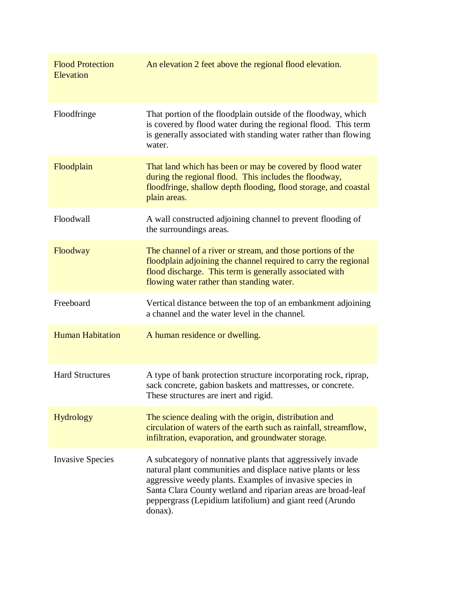| <b>Flood Protection</b><br><b>Elevation</b> | An elevation 2 feet above the regional flood elevation.                                                                                                                                                                                                                                                                       |
|---------------------------------------------|-------------------------------------------------------------------------------------------------------------------------------------------------------------------------------------------------------------------------------------------------------------------------------------------------------------------------------|
| Floodfringe                                 | That portion of the floodplain outside of the floodway, which<br>is covered by flood water during the regional flood. This term<br>is generally associated with standing water rather than flowing<br>water.                                                                                                                  |
| Floodplain                                  | That land which has been or may be covered by flood water<br>during the regional flood. This includes the floodway,<br>floodfringe, shallow depth flooding, flood storage, and coastal<br>plain areas.                                                                                                                        |
| Floodwall                                   | A wall constructed adjoining channel to prevent flooding of<br>the surroundings areas.                                                                                                                                                                                                                                        |
| Floodway                                    | The channel of a river or stream, and those portions of the<br>floodplain adjoining the channel required to carry the regional<br>flood discharge. This term is generally associated with<br>flowing water rather than standing water.                                                                                        |
| Freeboard                                   | Vertical distance between the top of an embankment adjoining<br>a channel and the water level in the channel.                                                                                                                                                                                                                 |
| <b>Human Habitation</b>                     | A human residence or dwelling.                                                                                                                                                                                                                                                                                                |
| <b>Hard Structures</b>                      | A type of bank protection structure incorporating rock, riprap,<br>sack concrete, gabion baskets and mattresses, or concrete.<br>These structures are inert and rigid.                                                                                                                                                        |
| Hydrology                                   | The science dealing with the origin, distribution and<br>circulation of waters of the earth such as rainfall, streamflow,<br>infiltration, evaporation, and groundwater storage.                                                                                                                                              |
| <b>Invasive Species</b>                     | A subcategory of nonnative plants that aggressively invade<br>natural plant communities and displace native plants or less<br>aggressive weedy plants. Examples of invasive species in<br>Santa Clara County wetland and riparian areas are broad-leaf<br>peppergrass (Lepidium latifolium) and giant reed (Arundo<br>donax). |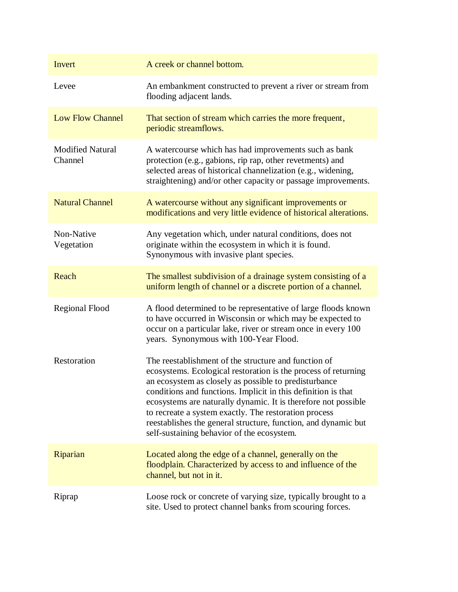| Invert                             | A creek or channel bottom.                                                                                                                                                                                                                                                                                                                                                                                                                                                                  |
|------------------------------------|---------------------------------------------------------------------------------------------------------------------------------------------------------------------------------------------------------------------------------------------------------------------------------------------------------------------------------------------------------------------------------------------------------------------------------------------------------------------------------------------|
| Levee                              | An embankment constructed to prevent a river or stream from<br>flooding adjacent lands.                                                                                                                                                                                                                                                                                                                                                                                                     |
| <b>Low Flow Channel</b>            | That section of stream which carries the more frequent,<br>periodic streamflows.                                                                                                                                                                                                                                                                                                                                                                                                            |
| <b>Modified Natural</b><br>Channel | A watercourse which has had improvements such as bank<br>protection (e.g., gabions, rip rap, other revetments) and<br>selected areas of historical channelization (e.g., widening,<br>straightening) and/or other capacity or passage improvements.                                                                                                                                                                                                                                         |
| <b>Natural Channel</b>             | A watercourse without any significant improvements or<br>modifications and very little evidence of historical alterations.                                                                                                                                                                                                                                                                                                                                                                  |
| Non-Native<br>Vegetation           | Any vegetation which, under natural conditions, does not<br>originate within the ecosystem in which it is found.<br>Synonymous with invasive plant species.                                                                                                                                                                                                                                                                                                                                 |
| Reach                              | The smallest subdivision of a drainage system consisting of a<br>uniform length of channel or a discrete portion of a channel.                                                                                                                                                                                                                                                                                                                                                              |
| <b>Regional Flood</b>              | A flood determined to be representative of large floods known<br>to have occurred in Wisconsin or which may be expected to<br>occur on a particular lake, river or stream once in every 100<br>years. Synonymous with 100-Year Flood.                                                                                                                                                                                                                                                       |
| Restoration                        | The reestablishment of the structure and function of<br>ecosystems. Ecological restoration is the process of returning<br>an ecosystem as closely as possible to predisturbance<br>conditions and functions. Implicit in this definition is that<br>ecosystems are naturally dynamic. It is therefore not possible<br>to recreate a system exactly. The restoration process<br>reestablishes the general structure, function, and dynamic but<br>self-sustaining behavior of the ecosystem. |
| Riparian                           | Located along the edge of a channel, generally on the<br>floodplain. Characterized by access to and influence of the<br>channel, but not in it.                                                                                                                                                                                                                                                                                                                                             |
| Riprap                             | Loose rock or concrete of varying size, typically brought to a<br>site. Used to protect channel banks from scouring forces.                                                                                                                                                                                                                                                                                                                                                                 |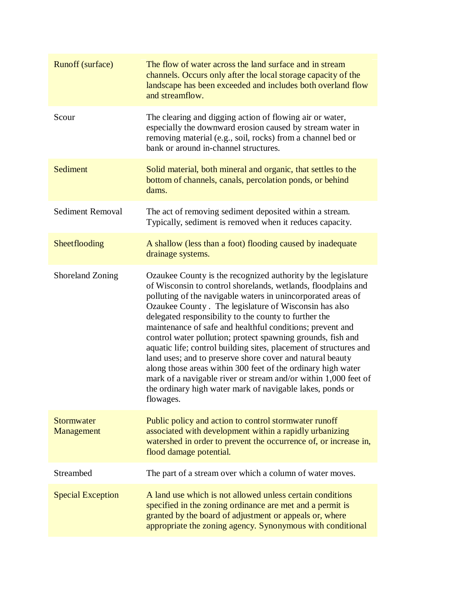| <b>Runoff</b> (surface)         | The flow of water across the land surface and in stream<br>channels. Occurs only after the local storage capacity of the<br>landscape has been exceeded and includes both overland flow<br>and streamflow.                                                                                                                                                                                                                                                                                                                                                                                                                                                                                                                                                                                  |
|---------------------------------|---------------------------------------------------------------------------------------------------------------------------------------------------------------------------------------------------------------------------------------------------------------------------------------------------------------------------------------------------------------------------------------------------------------------------------------------------------------------------------------------------------------------------------------------------------------------------------------------------------------------------------------------------------------------------------------------------------------------------------------------------------------------------------------------|
| Scour                           | The clearing and digging action of flowing air or water,<br>especially the downward erosion caused by stream water in<br>removing material (e.g., soil, rocks) from a channel bed or<br>bank or around in-channel structures.                                                                                                                                                                                                                                                                                                                                                                                                                                                                                                                                                               |
| Sediment                        | Solid material, both mineral and organic, that settles to the<br>bottom of channels, canals, percolation ponds, or behind<br>dams.                                                                                                                                                                                                                                                                                                                                                                                                                                                                                                                                                                                                                                                          |
| <b>Sediment Removal</b>         | The act of removing sediment deposited within a stream.<br>Typically, sediment is removed when it reduces capacity.                                                                                                                                                                                                                                                                                                                                                                                                                                                                                                                                                                                                                                                                         |
| Sheetflooding                   | A shallow (less than a foot) flooding caused by inadequate<br>drainage systems.                                                                                                                                                                                                                                                                                                                                                                                                                                                                                                                                                                                                                                                                                                             |
| <b>Shoreland Zoning</b>         | Ozaukee County is the recognized authority by the legislature<br>of Wisconsin to control shorelands, wetlands, floodplains and<br>polluting of the navigable waters in unincorporated areas of<br>Ozaukee County. The legislature of Wisconsin has also<br>delegated responsibility to the county to further the<br>maintenance of safe and healthful conditions; prevent and<br>control water pollution; protect spawning grounds, fish and<br>aquatic life; control building sites, placement of structures and<br>land uses; and to preserve shore cover and natural beauty<br>along those areas within 300 feet of the ordinary high water<br>mark of a navigable river or stream and/or within 1,000 feet of<br>the ordinary high water mark of navigable lakes, ponds or<br>flowages. |
| <b>Stormwater</b><br>Management | Public policy and action to control stormwater runoff<br>associated with development within a rapidly urbanizing<br>watershed in order to prevent the occurrence of, or increase in,<br>flood damage potential.                                                                                                                                                                                                                                                                                                                                                                                                                                                                                                                                                                             |
| Streambed                       | The part of a stream over which a column of water moves.                                                                                                                                                                                                                                                                                                                                                                                                                                                                                                                                                                                                                                                                                                                                    |
| <b>Special Exception</b>        | A land use which is not allowed unless certain conditions<br>specified in the zoning ordinance are met and a permit is<br>granted by the board of adjustment or appeals or, where<br>appropriate the zoning agency. Synonymous with conditional                                                                                                                                                                                                                                                                                                                                                                                                                                                                                                                                             |